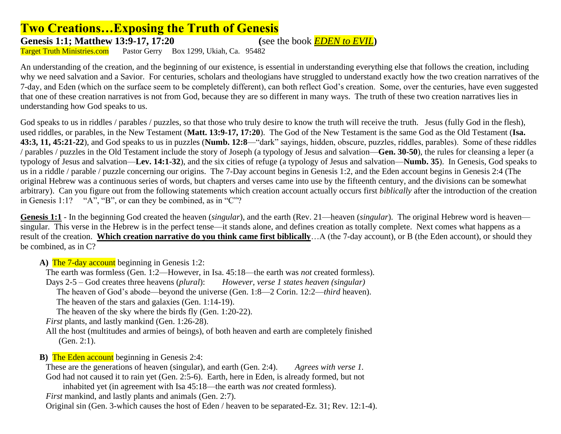## **Two Creations…Exposing the Truth of Genesis**

Genesis 1:1; Matthew 13:9-17, 17:20 (see the book *EDEN to EVIL*)<br>
Target Truth Ministries.com Pastor Gerry Box 1299. Ukiah. Ca. 95482

Pastor Gerry Box 1299, Ukiah, Ca. 95482

An understanding of the creation, and the beginning of our existence, is essential in understanding everything else that follows the creation, including why we need salvation and a Savior. For centuries, scholars and theologians have struggled to understand exactly how the two creation narratives of the 7-day, and Eden (which on the surface seem to be completely different), can both reflect God's creation. Some, over the centuries, have even suggested that one of these creation narratives is not from God, because they are so different in many ways. The truth of these two creation narratives lies in understanding how God speaks to us.

God speaks to us in riddles / parables / puzzles, so that those who truly desire to know the truth will receive the truth. Jesus (fully God in the flesh), used riddles, or parables, in the New Testament (**Matt. 13:9-17, 17:20**). The God of the New Testament is the same God as the Old Testament (**Isa. 43:3, 11, 45:21-22**), and God speaks to us in puzzles (**Numb. 12:8**—"dark" sayings, hidden, obscure, puzzles, riddles, parables). Some of these riddles / parables / puzzles in the Old Testament include the story of Joseph (a typology of Jesus and salvation—**Gen. 30-50**), the rules for cleansing a leper (a typology of Jesus and salvation—**Lev. 14:1-32**), and the six cities of refuge (a typology of Jesus and salvation—**Numb. 35**). In Genesis, God speaks to us in a riddle / parable / puzzle concerning our origins. The 7-Day account begins in Genesis 1:2, and the Eden account begins in Genesis 2:4 (The original Hebrew was a continuous series of words, but chapters and verses came into use by the fifteenth century, and the divisions can be somewhat arbitrary). Can you figure out from the following statements which creation account actually occurs first *biblically* after the introduction of the creation in Genesis 1:1? "A", "B", or can they be combined, as in "C"?

**Genesis 1:1** - In the beginning God created the heaven (*singular*), and the earth (Rev. 21—heaven (*singular*). The original Hebrew word is heaven singular. This verse in the Hebrew is in the perfect tense—it stands alone, and defines creation as totally complete. Next comes what happens as a result of the creation. **Which creation narrative do you think came first biblically**…A (the 7-day account), or B (the Eden account), or should they be combined, as in C?

A) The 7-day account beginning in Genesis 1:2:

The earth was formless (Gen. 1:2—However, in Isa. 45:18—the earth was *not* created formless).

Days 2-5 – God creates three heavens (*plural*): *However, verse 1 states heaven (singular)*

The heaven of God's abode—beyond the universe (Gen. 1:8—2 Corin. 12:2—*third* heaven).

The heaven of the stars and galaxies (Gen. 1:14-19).

The heaven of the sky where the birds fly (Gen. 1:20-22).

*First* plants, and lastly mankind (Gen. 1:26-28).

All the host (multitudes and armies of beings), of both heaven and earth are completely finished (Gen. 2:1).

**B**) The Eden account beginning in Genesis 2:4:

These are the generations of heaven (singular), and earth (Gen. 2:4). *Agrees with verse 1.* God had not caused it to rain yet (Gen. 2:5-6). Earth, here in Eden, is already formed, but not inhabited yet (in agreement with Isa 45:18—the earth was *not* created formless). *First* mankind, and lastly plants and animals (Gen. 2:7). Original sin (Gen. 3-which causes the host of Eden / heaven to be separated-Ez. 31; Rev. 12:1-4).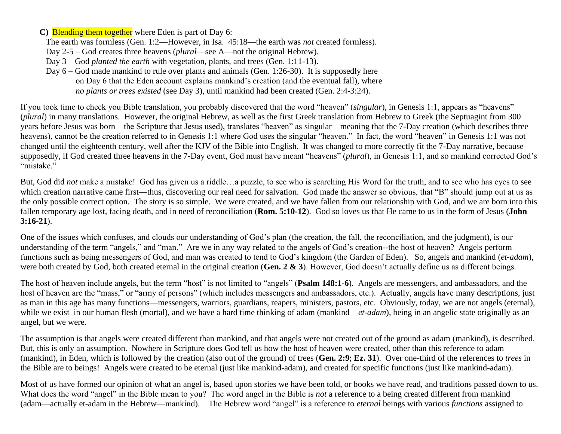**C)** Blending them together where Eden is part of Day 6:

The earth was formless (Gen. 1:2—However, in Isa. 45:18—the earth was *not* created formless).

Day 2-5 – God creates three heavens (*plural*—see A—not the original Hebrew).

Day 3 – God *planted the earth* with vegetation, plants, and trees (Gen. 1:11-13).

Day  $6 - God$  made mankind to rule over plants and animals (Gen. 1:26-30). It is supposedly here on Day 6 that the Eden account explains mankind's creation (and the eventual fall), where *no plants or trees existed* (see Day 3), until mankind had been created (Gen. 2:4-3:24).

If you took time to check you Bible translation, you probably discovered that the word "heaven" (*singular*), in Genesis 1:1, appears as "heavens" (*plural*) in many translations. However, the original Hebrew, as well as the first Greek translation from Hebrew to Greek (the Septuagint from 300 years before Jesus was born—the Scripture that Jesus used), translates "heaven" as singular—meaning that the 7-Day creation (which describes three heavens), cannot be the creation referred to in Genesis 1:1 where God uses the singular "heaven." In fact, the word "heaven" in Genesis 1:1 was not changed until the eighteenth century, well after the KJV of the Bible into English. It was changed to more correctly fit the 7-Day narrative, because supposedly, if God created three heavens in the 7-Day event, God must have meant "heavens" (*plural*), in Genesis 1:1, and so mankind corrected God's "mistake."

But, God did *not* make a mistake! God has given us a riddle…a puzzle, to see who is searching His Word for the truth, and to see who has eyes to see which creation narrative came first—thus, discovering our real need for salvation. God made the answer so obvious, that "B" should jump out at us as the only possible correct option. The story is so simple. We were created, and we have fallen from our relationship with God, and we are born into this fallen temporary age lost, facing death, and in need of reconciliation (**Rom. 5:10-12**). God so loves us that He came to us in the form of Jesus (**John 3:16-21**).

One of the issues which confuses, and clouds our understanding of God's plan (the creation, the fall, the reconciliation, and the judgment), is our understanding of the term "angels," and "man." Are we in any way related to the angels of God's creation--the host of heaven? Angels perform functions such as being messengers of God, and man was created to tend to God's kingdom (the Garden of Eden). So, angels and mankind (*et-adam*), were both created by God, both created eternal in the original creation (**Gen. 2 & 3**). However, God doesn't actually define us as different beings.

The host of heaven include angels, but the term "host" is not limited to "angels" (**Psalm 148:1-6**). Angels are messengers, and ambassadors, and the host of heaven are the "mass," or "army of persons" (which includes messengers and ambassadors, etc.). Actually, angels have many descriptions, just as man in this age has many functions—messengers, warriors, guardians, reapers, ministers, pastors, etc. Obviously, today, we are not angels (eternal), while we exist in our human flesh (mortal), and we have a hard time thinking of adam (mankind—*et-adam*), being in an angelic state originally as an angel, but we were.

The assumption is that angels were created different than mankind, and that angels were not created out of the ground as adam (mankind), is described. But, this is only an assumption. Nowhere in Scripture does God tell us how the host of heaven were created, other than this reference to adam (mankind), in Eden, which is followed by the creation (also out of the ground) of trees (**Gen. 2:9**; **Ez. 31**). Over one-third of the references to *trees* in the Bible are to beings! Angels were created to be eternal (just like mankind-adam), and created for specific functions (just like mankind-adam).

Most of us have formed our opinion of what an angel is, based upon stories we have been told, or books we have read, and traditions passed down to us. What does the word "angel" in the Bible mean to you? The word angel in the Bible is *not* a reference to a being created different from mankind (adam—actually et-adam in the Hebrew—mankind). The Hebrew word "angel" is a reference to *eternal* beings with various *functions* assigned to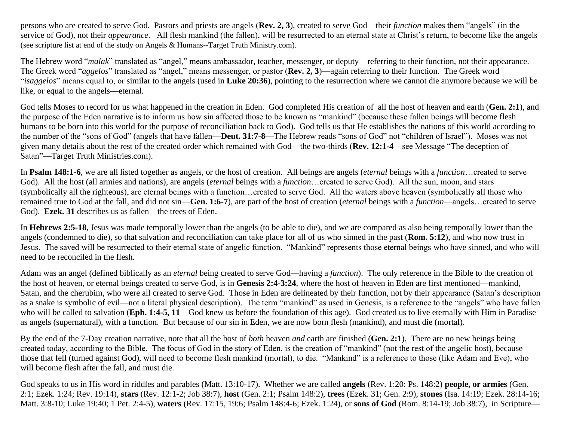persons who are created to serve God. Pastors and priests are angels (**Rev. 2, 3**), created to serve God—their *function* makes them "angels" (in the service of God), not their *appearance*. All flesh mankind (the fallen), will be resurrected to an eternal state at Christ's return, to become like the angels (see scripture list at end of the study on Angels & Humans--Target Truth Ministry.com).

The Hebrew word "*malak*" translated as "angel," means ambassador, teacher, messenger, or deputy—referring to their function, not their appearance. The Greek word "*aggelos*" translated as "angel," means messenger, or pastor (**Rev. 2, 3**)—again referring to their function. The Greek word "*isaggelos*" means equal to, or similar to the angels (used in **Luke 20:36**), pointing to the resurrection where we cannot die anymore because we will be like, or equal to the angels—eternal.

God tells Moses to record for us what happened in the creation in Eden. God completed His creation of all the host of heaven and earth (**Gen. 2:1**), and the purpose of the Eden narrative is to inform us how sin affected those to be known as "mankind" (because these fallen beings will become flesh humans to be born into this world for the purpose of reconciliation back to God). God tells us that He establishes the nations of this world according to the number of the "sons of God" (angels that have fallen—**Deut. 31:7-8**—The Hebrew reads "sons of God" not "children of Israel"). Moses was not given many details about the rest of the created order which remained with God—the two-thirds (**Rev. 12:1-4**—see Message "The deception of Satan"—Target Truth Ministries.com).

In **Psalm 148:1-6**, we are all listed together as angels, or the host of creation. All beings are angels (*eternal* beings with a *function*…created to serve God). All the host (all armies and nations), are angels (*eternal* beings with a *function*…created to serve God). All the sun, moon, and stars (symbolically all the righteous), are eternal beings with a function…created to serve God. All the waters above heaven (symbolically all those who remained true to God at the fall, and did not sin—**Gen. 1:6-7**), are part of the host of creation (*eternal* beings with a *function*—angels…created to serve God). **Ezek. 31** describes us as fallen—the trees of Eden.

In **Hebrews 2:5-18**, Jesus was made temporally lower than the angels (to be able to die), and we are compared as also being temporally lower than the angels (condemned to die), so that salvation and reconciliation can take place for all of us who sinned in the past (**Rom. 5:12**), and who now trust in Jesus. The saved will be resurrected to their eternal state of angelic function. "Mankind" represents those eternal beings who have sinned, and who will need to be reconciled in the flesh.

Adam was an angel (defined biblically as an *eternal* being created to serve God—having a *function*). The only reference in the Bible to the creation of the host of heaven, or eternal beings created to serve God, is in **Genesis 2:4-3:24**, where the host of heaven in Eden are first mentioned—mankind, Satan, and the cherubim, who were all created to serve God. Those in Eden are delineated by their function, not by their appearance (Satan's description as a snake is symbolic of evil—not a literal physical description). The term "mankind" as used in Genesis, is a reference to the "angels" who have fallen who will be called to salvation (Eph. 1:4-5, 11—God knew us before the foundation of this age). God created us to live eternally with Him in Paradise as angels (supernatural), with a function. But because of our sin in Eden, we are now born flesh (mankind), and must die (mortal).

By the end of the 7-Day creation narrative, note that all the host of *both* heaven *and* earth are finished (**Gen. 2:1**). There are no new beings being created today, according to the Bible. The focus of God in the story of Eden, is the creation of "mankind" (not the rest of the angelic host), because those that fell (turned against God), will need to become flesh mankind (mortal), to die. "Mankind" is a reference to those (like Adam and Eve), who will become flesh after the fall, and must die.

God speaks to us in His word in riddles and parables (Matt. 13:10-17). Whether we are called **angels** (Rev. 1:20: Ps. 148:2) **people, or armies** (Gen. 2:1; Ezek. 1:24; Rev. 19:14), **stars** (Rev. 12:1-2; Job 38:7), **host** (Gen. 2:1; Psalm 148:2), **trees** (Ezek. 31; Gen. 2:9), **stones** (Isa. 14:19; Ezek. 28:14-16; Matt. 3:8-10; Luke 19:40; 1 Pet. 2:4-5), **waters** (Rev. 17:15, 19:6; Psalm 148:4-6; Ezek. 1:24), or **sons of God** (Rom. 8:14-19; Job 38:7), in Scripture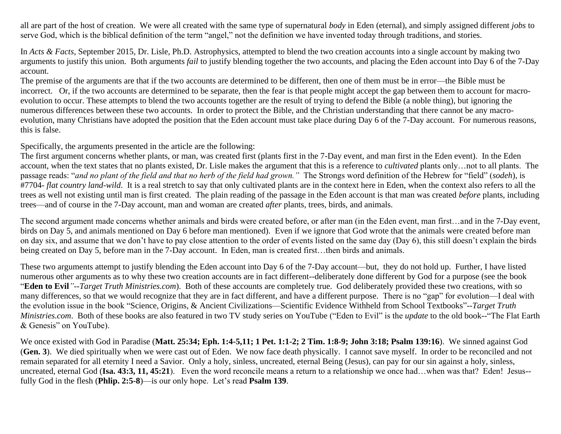all are part of the host of creation. We were all created with the same type of supernatural *body* in Eden (eternal), and simply assigned different *jobs* to serve God, which is the biblical definition of the term "angel," not the definition we have invented today through traditions, and stories.

In *Acts & Facts*, September 2015, Dr. Lisle, Ph.D. Astrophysics, attempted to blend the two creation accounts into a single account by making two arguments to justify this union. Both arguments *fail* to justify blending together the two accounts, and placing the Eden account into Day 6 of the 7-Day account.

The premise of the arguments are that if the two accounts are determined to be different, then one of them must be in error—the Bible must be incorrect. Or, if the two accounts are determined to be separate, then the fear is that people might accept the gap between them to account for macroevolution to occur. These attempts to blend the two accounts together are the result of trying to defend the Bible (a noble thing), but ignoring the numerous differences between these two accounts. In order to protect the Bible, and the Christian understanding that there cannot be any macroevolution, many Christians have adopted the position that the Eden account must take place during Day 6 of the 7-Day account. For numerous reasons, this is false.

Specifically, the arguments presented in the article are the following:

The first argument concerns whether plants, or man, was created first (plants first in the 7-Day event, and man first in the Eden event). In the Eden account, when the text states that no plants existed, Dr. Lisle makes the argument that this is a reference to *cultivated* plants only…not to all plants. The passage reads: "*and no plant of the field and that no herb of the field had grown."* The Strongs word definition of the Hebrew for "field" (*sodeh*), is #7704- *flat country land-wild*. It is a real stretch to say that only cultivated plants are in the context here in Eden, when the context also refers to all the trees as well not existing until man is first created. The plain reading of the passage in the Eden account is that man was created *before* plants, including trees—and of course in the 7-Day account, man and woman are created *after* plants, trees, birds, and animals.

The second argument made concerns whether animals and birds were created before, or after man (in the Eden event, man first…and in the 7-Day event, birds on Day 5, and animals mentioned on Day 6 before man mentioned). Even if we ignore that God wrote that the animals were created before man on day six, and assume that we don't have to pay close attention to the order of events listed on the same day (Day 6), this still doesn't explain the birds being created on Day 5, before man in the 7-Day account. In Eden, man is created first…then birds and animals.

These two arguments attempt to justify blending the Eden account into Day 6 of the 7-Day account—but, they do not hold up. Further, I have listed numerous other arguments as to why these two creation accounts are in fact different--deliberately done different by God for a purpose (see the book "**Eden to Evil***"*--*Target Truth Ministries.com*). Both of these accounts are completely true. God deliberately provided these two creations, with so many differences, so that we would recognize that they are in fact different, and have a different purpose. There is no "gap" for evolution—I deal with the evolution issue in the book ["Science, Origins, & Ancient Civilizations—Scientific Evidence Withheld from School Textbooks"](http://www.amazon.com/Science-Origins-Ancient-Civilizations-Burney/dp/1607916258/ref=sr_1_1?ie=UTF8&qid=1440716492&sr=8-1&keywords=Science%2C+Origins%2C+%26+Ancient+Civilizations)--*Target Truth Ministries.com*. Both of these books are also featured in two TV study series on [YouTube](https://www.youtube.com/playlist?list=PLWR4UP7KAdQ93jDiXpVJuxtOX-RFAxXmO) ("Eden to Evil" is the *update* to the old book--"The Flat Earth & Genesis" on YouTube).

We once existed with God in Paradise (**Matt. 25:34; Eph. 1:4-5,11; 1 Pet. 1:1-2; 2 Tim. 1:8-9; John 3:18; Psalm 139:16**). We sinned against God (**Gen. 3**). We died spiritually when we were cast out of Eden. We now face death physically. I cannot save myself. In order to be reconciled and not remain separated for all eternity I need a Savior. Only a holy, sinless, uncreated, eternal Being (Jesus), can pay for our sin against a holy, sinless, uncreated, eternal God (Isa. 43:3, 11, 45:21). Even the word reconcile means a return to a relationship we once had…when was that? Eden! Jesus-fully God in the flesh (**Phlip. 2:5-8**)—is our only hope. Let's read **Psalm 139**.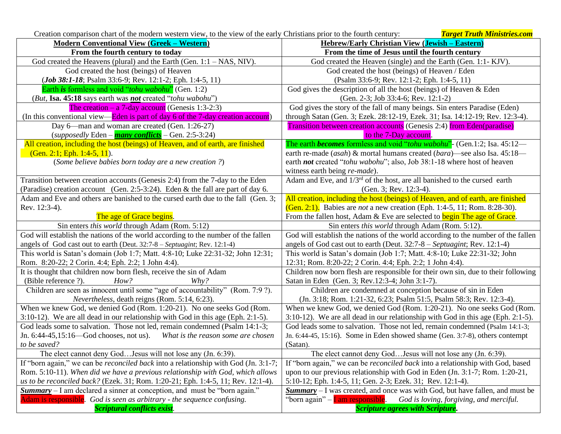Creation comparison chart of the modern western view, to the view of the early Christians prior to the fourth century: *Target Truth Ministries.com*

| <b>Modern Conventional View (Greek – Western)</b>                                                                                                              | <b>Hebrew/Early Christian View (Jewish – Eastern)</b>                                 |  |
|----------------------------------------------------------------------------------------------------------------------------------------------------------------|---------------------------------------------------------------------------------------|--|
| From the fourth century to today                                                                                                                               | From the time of Jesus until the fourth century                                       |  |
| God created the Heavens (plural) and the Earth (Gen. $1:1 - NAS$ , NIV).                                                                                       | God created the Heaven (single) and the Earth (Gen. 1:1- KJV).                        |  |
| God created the host (beings) of Heaven                                                                                                                        | God created the host (beings) of Heaven / Eden                                        |  |
| ( <i>Job 38:1-18</i> ; Psalm 33:6-9; Rev. 12:1-2; Eph. 1:4-5, 11)                                                                                              | (Psalm 33:6-9; Rev. 12:1-2; Eph. 1:4-5, 11)                                           |  |
| Earth is formless and void "tohu wabohu" (Gen. 1:2)                                                                                                            | God gives the description of all the host (beings) of Heaven $\&$ Eden                |  |
| (But, Isa. 45:18 says earth was not created "tohu wabohu")                                                                                                     | (Gen. 2-3; Job 33:4-6; Rev. 12:1-2)                                                   |  |
| The creation $- a 7$ -day account (Genesis 1:3-2:3)                                                                                                            | God gives the story of the fall of many beings. Sin enters Paradise (Eden)            |  |
| (In this conventional view—Eden is part of day 6 of the 7-day creation account)                                                                                | through Satan (Gen. 3; Ezek. 28:12-19, Ezek. 31; Isa. 14:12-19; Rev. 12:3-4).         |  |
| Day 6—man and woman are created (Gen. 1:26-27)                                                                                                                 | <b>Transition between creation accounts</b> (Genesis 2:4) from Eden(paradise)         |  |
| (supposedly Eden - $\frac{many \; conflicts}{Many \; conflicts}$ - Gen. 2:5-3:24)                                                                              | to the 7-Day account.                                                                 |  |
| All creation, including the host (beings) of Heaven, and of earth, are finished                                                                                | The earth <b>becomes</b> formless and void "tohu wabohu" (Gen.1:2; Isa. 45:12—        |  |
| $(Gen. 2:1; Eph. 1:4-5, 11).$                                                                                                                                  | earth re-made (asah) & mortal humans created (bara)—see also Isa. 45:18—              |  |
| (Some believe babies born today are a new creation ?)                                                                                                          | earth not created "tohu wabohu"; also, Job 38:1-18 where host of heaven               |  |
|                                                                                                                                                                | witness earth being re-made).                                                         |  |
| Transition between creation accounts (Genesis 2:4) from the 7-day to the Eden                                                                                  | Adam and Eve, and $1/3^{rd}$ of the host, are all banished to the cursed earth        |  |
| (Paradise) creation account (Gen. 2:5-3:24). Eden & the fall are part of day 6.                                                                                | (Gen. 3; Rev. 12:3-4).                                                                |  |
| Adam and Eve and others are banished to the cursed earth due to the fall (Gen. 3;                                                                              | All creation, including the host (beings) of Heaven, and of earth, are finished       |  |
| Rev. 12:3-4).                                                                                                                                                  | (Gen. 2:1). Babies are not a new creation (Eph. 1:4-5, 11; Rom. 8:28-30).             |  |
| The age of Grace begins.                                                                                                                                       | From the fallen host, Adam & Eve are selected to begin The age of Grace.              |  |
| Sin enters this world through Adam (Rom. 5:12)                                                                                                                 | Sin enters <i>this world</i> through Adam (Rom. 5:12).                                |  |
| God will establish the nations of the world according to the number of the fallen                                                                              | God will establish the nations of the world according to the number of the fallen     |  |
| angels of God cast out to earth (Deut. 32:7-8 - Septuagint; Rev. 12:1-4)                                                                                       | angels of God cast out to earth (Deut. 32:7-8 - Septuagint; Rev. 12:1-4)              |  |
| This world is Satan's domain (Job 1:7; Matt. 4:8-10; Luke 22:31-32; John 12:31;                                                                                | This world is Satan's domain (Job 1:7; Matt. 4:8-10; Luke 22:31-32; John              |  |
| Rom. 8:20-22; 2 Corin. 4:4; Eph. 2:2; 1 John 4:4).                                                                                                             | 12:31; Rom. 8:20-22; 2 Corin. 4:4; Eph. 2:2; 1 John 4:4).                             |  |
| It is thought that children now born flesh, receive the sin of Adam                                                                                            | Children now born flesh are responsible for their own sin, due to their following     |  |
| (Bible reference ?).<br>How?<br>$Whv$ ?                                                                                                                        | Satan in Eden (Gen. 3; Rev. 12:3-4; John 3:1-7).                                      |  |
| Children are seen as innocent until some "age of accountability" (Rom. 7:9 ?).                                                                                 | Children are condemned at conception because of sin in Eden                           |  |
| Nevertheless, death reigns (Rom. 5:14, 6:23).                                                                                                                  | (Jn. 3:18; Rom. 1:21-32, 6:23; Psalm 51:5, Psalm 58:3; Rev. 12:3-4).                  |  |
| When we knew God, we denied God (Rom. 1:20-21). No one seeks God (Rom.                                                                                         | When we knew God, we denied God (Rom. 1:20-21). No one seeks God (Rom.                |  |
| 3:10-12). We are all dead in our relationship with God in this age (Eph. 2:1-5).                                                                               | 3:10-12). We are all dead in our relationship with God in this age (Eph. 2:1-5).      |  |
| God leads some to salvation. Those not led, remain condemned (Psalm 14:1-3;                                                                                    | God leads some to salvation. Those not led, remain condemned (Psalm 14:1-3;           |  |
| Jn. $6:44-45,15:16$ -God chooses, not us).<br>What is the reason some are chosen                                                                               | Jn. 6:44-45, 15:16). Some in Eden showed shame (Gen. 3:7-8), others contempt          |  |
| to be saved?                                                                                                                                                   | (Satan).                                                                              |  |
| The elect cannot deny GodJesus will not lose any (Jn. 6:39).                                                                                                   | The elect cannot deny God Jesus will not lose any (Jn. 6:39).                         |  |
| If "born again," we can be <i>reconciled back</i> into a relationship with God (Jn. 3:1-7;                                                                     | If "born again," we can be <i>reconciled back</i> into a relationship with God, based |  |
| Rom. 5:10-11). When did we have a previous relationship with God, which allows<br>upon to our previous relationship with God in Eden (Jn. 3:1-7; Rom. 1:20-21, |                                                                                       |  |
| us to be reconciled back? (Ezek. 31; Rom. 1:20-21; Eph. 1:4-5, 11; Rev. 12:1-4).                                                                               | 5:10-12; Eph. 1:4-5, 11; Gen. 2-3; Ezek. 31; Rev. 12:1-4).                            |  |
| <b>Summary</b> – I am declared a sinner at conception, and must be "born again."                                                                               | <b>Summary</b> - I was created, and once was with God, but have fallen, and must be   |  |
| Adam is responsible. God is seen as arbitrary - the sequence confusing.                                                                                        | "born again" – <b>I</b> am responsible. God is loving, forgiving, and merciful.       |  |
| <b>Scriptural conflicts exist.</b>                                                                                                                             | <b>Scripture agrees with Scripture.</b>                                               |  |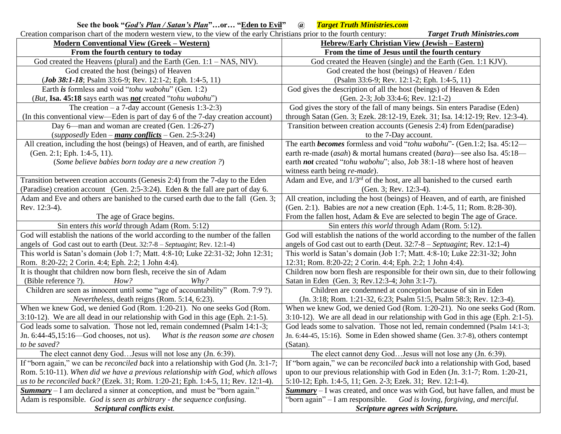## **See the book "***God's Plan / Satan's Plan***"…or… "Eden to Evil" @** *Target Truth Ministries.com*

| Creation comparison chart of the modern western view, to the view of the early Christians prior to the fourth century: | <b>Target Truth Ministries.com</b>                                                    |  |
|------------------------------------------------------------------------------------------------------------------------|---------------------------------------------------------------------------------------|--|
| <b>Modern Conventional View (Greek – Western)</b>                                                                      | <b>Hebrew/Early Christian View (Jewish - Eastern)</b>                                 |  |
| From the fourth century to today                                                                                       | From the time of Jesus until the fourth century                                       |  |
| God created the Heavens (plural) and the Earth (Gen. $1:1 - NAS$ , NIV).                                               | God created the Heaven (single) and the Earth (Gen. 1:1 KJV).                         |  |
| God created the host (beings) of Heaven                                                                                | God created the host (beings) of Heaven / Eden                                        |  |
| ( <i>Job 38:1-18</i> ; Psalm 33:6-9; Rev. 12:1-2; Eph. 1:4-5, 11)                                                      | (Psalm 33:6-9; Rev. 12:1-2; Eph. 1:4-5, 11)                                           |  |
| Earth is formless and void "tohu wabohu" (Gen. 1:2)                                                                    | God gives the description of all the host (beings) of Heaven & Eden                   |  |
| (But, Isa. 45:18 says earth was not created "tohu wabohu")                                                             | (Gen. 2-3; Job 33:4-6; Rev. 12:1-2)                                                   |  |
| The creation $- a 7$ -day account (Genesis 1:3-2:3)                                                                    | God gives the story of the fall of many beings. Sin enters Paradise (Eden)            |  |
| (In this conventional view—Eden is part of day 6 of the 7-day creation account)                                        | through Satan (Gen. 3; Ezek. 28:12-19, Ezek. 31; Isa. 14:12-19; Rev. 12:3-4).         |  |
| Day 6—man and woman are created (Gen. 1:26-27)                                                                         | Transition between creation accounts (Genesis 2:4) from Eden(paradise)                |  |
| (supposedly Eden – many conflicts – Gen. 2:5-3:24)                                                                     | to the 7-Day account.                                                                 |  |
| All creation, including the host (beings) of Heaven, and of earth, are finished                                        | The earth <i>becomes</i> formless and void "tohu wabohu" - (Gen.1:2; Isa. 45:12-      |  |
| (Gen. 2:1; Eph. 1:4-5, 11).                                                                                            | earth re-made (asah) & mortal humans created (bara)—see also Isa. 45:18—              |  |
| (Some believe babies born today are a new creation ?)                                                                  | earth not created "tohu wabohu"; also, Job 38:1-18 where host of heaven               |  |
|                                                                                                                        | witness earth being re-made).                                                         |  |
| Transition between creation accounts (Genesis 2:4) from the 7-day to the Eden                                          | Adam and Eve, and 1/3 <sup>rd</sup> of the host, are all banished to the cursed earth |  |
| (Paradise) creation account (Gen. 2:5-3:24). Eden & the fall are part of day 6.                                        | (Gen. 3; Rev. 12:3-4).                                                                |  |
| Adam and Eve and others are banished to the cursed earth due to the fall (Gen. 3;                                      | All creation, including the host (beings) of Heaven, and of earth, are finished       |  |
| Rev. 12:3-4).                                                                                                          | (Gen. 2:1). Babies are not a new creation (Eph. 1:4-5, 11; Rom. 8:28-30).             |  |
| The age of Grace begins.                                                                                               | From the fallen host, Adam & Eve are selected to begin The age of Grace.              |  |
| Sin enters <i>this world</i> through Adam (Rom. 5:12)                                                                  | Sin enters this world through Adam (Rom. 5:12).                                       |  |
| God will establish the nations of the world according to the number of the fallen                                      | God will establish the nations of the world according to the number of the fallen     |  |
| angels of God cast out to earth (Deut. 32:7-8 - Septuagint; Rev. 12:1-4)                                               | angels of God cast out to earth (Deut. $32:7-8$ – Septuagint; Rev. 12:1-4)            |  |
| This world is Satan's domain (Job 1:7; Matt. 4:8-10; Luke 22:31-32; John 12:31;                                        | This world is Satan's domain (Job 1:7; Matt. 4:8-10; Luke 22:31-32; John              |  |
| Rom. 8:20-22; 2 Corin. 4:4; Eph. 2:2; 1 John 4:4).                                                                     | 12:31; Rom. 8:20-22; 2 Corin. 4:4; Eph. 2:2; 1 John 4:4).                             |  |
| It is thought that children now born flesh, receive the sin of Adam                                                    | Children now born flesh are responsible for their own sin, due to their following     |  |
| (Bible reference ?).<br>Whv?<br>How?                                                                                   | Satan in Eden (Gen. 3; Rev. 12:3-4; John 3:1-7).                                      |  |
| Children are seen as innocent until some "age of accountability" (Rom. 7:9?).                                          | Children are condemned at conception because of sin in Eden                           |  |
| Nevertheless, death reigns (Rom. 5:14, 6:23).                                                                          | (Jn. 3:18; Rom. 1:21-32, 6:23; Psalm 51:5, Psalm 58:3; Rev. 12:3-4).                  |  |
| When we knew God, we denied God (Rom. 1:20-21). No one seeks God (Rom.                                                 | When we knew God, we denied God (Rom. 1:20-21). No one seeks God (Rom.                |  |
| 3:10-12). We are all dead in our relationship with God in this age (Eph. 2:1-5).                                       | 3:10-12). We are all dead in our relationship with God in this age (Eph. 2:1-5).      |  |
| God leads some to salvation. Those not led, remain condemned (Psalm 14:1-3;                                            | God leads some to salvation. Those not led, remain condemned (Psalm 14:1-3;           |  |
| Jn. 6:44-45,15:16—God chooses, not us). What is the reason some are chosen                                             | Jn. 6:44-45, 15:16). Some in Eden showed shame (Gen. 3:7-8), others contempt          |  |
| to be saved?                                                                                                           | (Satan).                                                                              |  |
| The elect cannot deny God Jesus will not lose any (Jn. 6:39).                                                          | The elect cannot deny God Jesus will not lose any (Jn. 6:39).                         |  |
| If "born again," we can be <i>reconciled back</i> into a relationship with God (Jn. 3:1-7;                             | If "born again," we can be <i>reconciled back</i> into a relationship with God, based |  |
| Rom. 5:10-11). When did we have a previous relationship with God, which allows                                         | upon to our previous relationship with God in Eden (Jn. 3:1-7; Rom. 1:20-21,          |  |
| us to be reconciled back? (Ezek. 31; Rom. 1:20-21; Eph. 1:4-5, 11; Rev. 12:1-4).                                       | 5:10-12; Eph. 1:4-5, 11; Gen. 2-3; Ezek. 31; Rev. 12:1-4).                            |  |
| <b>Summary</b> – I am declared a sinner at conception, and must be "born again."                                       | $Summary - I$ was created, and once was with God, but have fallen, and must be        |  |
| Adam is responsible. God is seen as arbitrary - the sequence confusing.                                                | "born again" $- I$ am responsible.<br>God is loving, forgiving, and merciful.         |  |
| Scriptural conflicts exist.                                                                                            | <b>Scripture agrees with Scripture.</b>                                               |  |